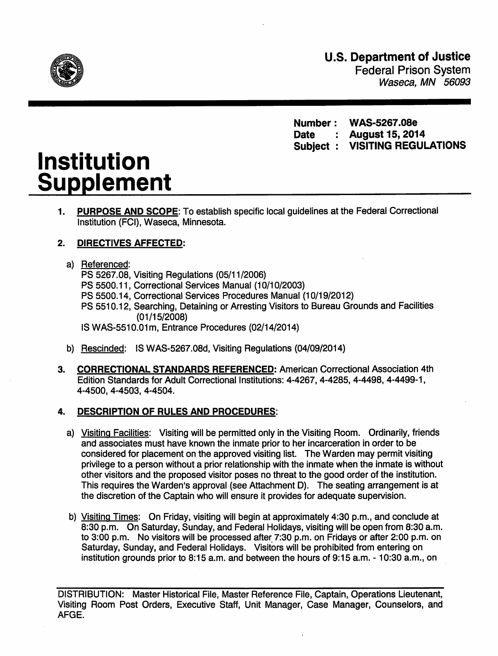

U.S. Department of Justice Federal Prison System Waseca, MN 56093

Number: WAS-5267.08e Date : August 15, 2014 Subject : VISITING REGULATIONS

# Institution Supplement

1. PURPOSE AND SCOPE: To establish specific local guidelines at the Federal Correctional Institution (FCI), Waseca, Minnesota.

# 2. DIRECTIVES AFFECTED:

## a) Referenced:

PS 5267.08, Visiting Regulations (05/11/2006) PS 5500.11, Correctional Services Manual (10/10/2003) PS 5500.14, Correctional Services Procedures Manual (10/19/2012) PS 5510.12, Searching, Detaining or Arresting Visitors to Bureau Grounds and Facilities  $(01/15/2008)$ IS WAS-551 0.01 m, Entrance Procedures (02/14/2014)

- b) Rescinded: IS WAS-5267.08d, Visiting Regulations (04/09/2014)
- 3. CORRECTIONAL STANDARDS REFERENCED: American Correctional Association 4th Edition Standards for Adult Correctional Institutions: 4-4267, 4-4285, 4-4498, 4-4499-1, 4-4500, 4-4503, 4-4504.

# 4. DESCRIPTION OF RULES AND PROCEDURES:

- a) Visiting Facilities: Visiting will be permitted only in the Visiting Room. Ordinarily, friends and associates must have known the inmate prior to her incarceration in order to be considered for placement on the approved visiting list. The Warden may permit visiting privilege to a person without a prior relationship with the inmate when the inmate is without other visitors and the proposed visitor poses no threat to the good order of the institution. This requires the Warden's approval (see Attachment D). The seating arrangement is at the discretion of the Captain who will ensure it provides for adequate supervision.
- b) Visiting Times: On Friday, visiting will begin at approximately 4:30 p.m., and conclude at 8:30 p.m. On Saturday, Sunday, and Federal Holidays, visiting will be open from 8:30 a.m. to 3:00 p.m. No visitors will be processed after 7:30 p.m. on Fridays or after 2:00 p.m. on Saturday, Sunday, and Federal Holidays. Visitors will be prohibited from entering on institution grounds prior to 8:15 a.m. and between the hours of 9:15 a.m. - 10:30 a.m., on

DISTRIBUTION: Master Historical File, Master Reference File, Captain, Operations Lieutenant, Visiting Room Post Orders, Executive Staff, Unit Manager, Case Manager, Counselors, and AFGE.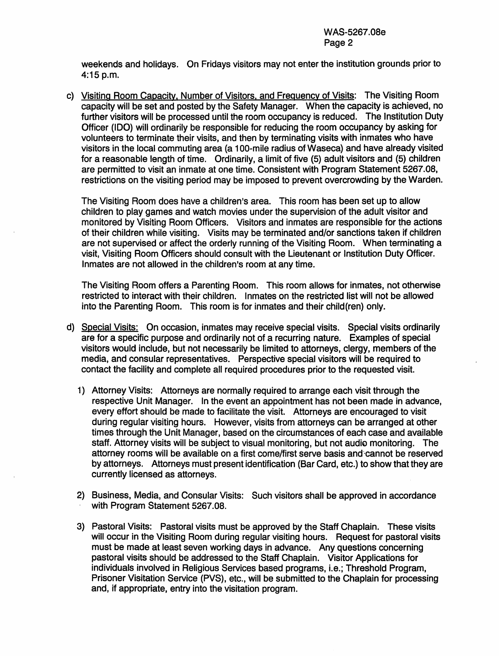weekends and holidays. On Fridays visitors may not enter the institution grounds prior to 4:15p.m.

c) Visiting Room Capacitv. Number of Visitors. and Frequency of Visits: The Visiting Room capacity will be set and posted by the Safety Manager. When the capacity is achieved, no further visitors will be processed until the room occupancy is reduced. The Institution Duty Officer (IDO) will ordinarily be responsible for reducing the room occupancy by asking for volunteers to terminate their visits, and then by terminating visits with inmates who have visitors in the local commuting area (a 1 00-mile radius of Waseca) and have already visited for a reasonable length of time. Ordinarily, a limit of five (5) adult visitors and (5) children are permitted to visit an inmate at one time. Consistent with Program Statement 5267.08, restrictions on the visiting period may be imposed to prevent overcrowding by the Warden.

The Visiting Room does have a children's area. This room has been set up to allow children to play games and watch movies under the supervision of the adult visitor and monitored by Visiting Room Officers. Visitors and inmates are responsible for the actions of their children while visiting. Visits may be terminated and/or sanctions taken if children are not supervised or affect the orderly running of the Visiting Room. When terminating a visit, Visiting Room Officers should consult with the Lieutenant or Institution Duty Officer. Inmates are not allowed in the children's room at any time.

The Visiting Room offers a Parenting Room. This room allows for inmates, not otherwise restricted to interact with their children. Inmates on the restricted list will not be allowed into the Parenting Room. This room is for inmates and their child(ren) only.

- d) Special Visits: On occasion, inmates may receive special visits. Special visits ordinarily are for a specific purpose and ordinarily not of a recurring nature. Examples of special visitors would include, but not necessarily be limited to attorneys, clergy, members of the media, and consular representatives. Perspective special visitors will be required to contact the facility and complete all required procedures prior to the requested visit.
	- 1) Attorney Visits; Attorneys are normally required to arrange each visit through the respective Unit Manager. In the event an appointment has not been made in advance, every effort should be made to facilitate the visit. Attorneys are encouraged to visit during regular visiting hours. However, visits from attorneys can be arranged at other times through the Unit Manager, based on the circumstances of each case and available staff. Attorney visits will be subject to visual monitoring, but not audio monitoring. The attorney rooms will be available on a first come/first serve basis and cannot be reserved by attorneys. Attorneys must present identification (Bar Card, etc.) to show that they are currently licensed as attorneys.
	- 2) Business, Media, and Consular Visits: Such visitors shall be approved in accordance with Program Statement 5267.08.
	- 3) Pastoral Visits: Pastoral visits must be approved by the Staff Chaplain. These visits will occur in the Visiting Room during regular visiting hours. Request for pastoral visits must be made at least seven working days in advance. Any questions concerning pastoral visits should be addressed to the Staff Chaplain. Visitor Applications for individuals involved in Religious Services based programs, i.e.; Threshold Program, Prisoner Visitation Service (PVS), etc., will be submitted to the Chaplain for processing and, if appropriate, entry into the visitation program.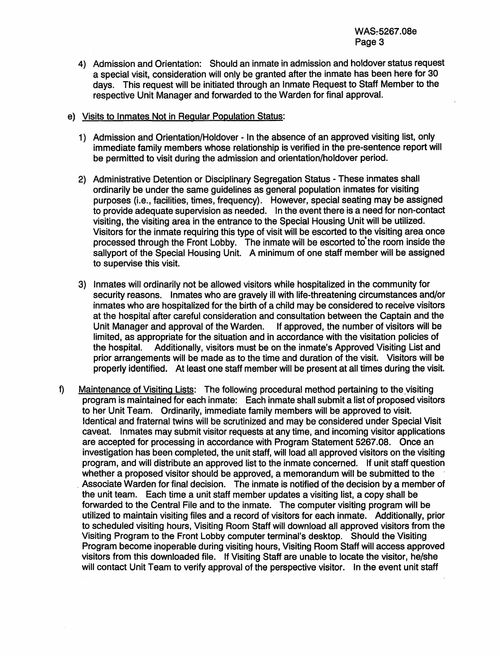- 4) Admission and Orientation: Should an inmate in admission and holdover status request a special visit, consideration will only be granted after the inmate has been here for 30 days. This request will be initiated through an Inmate Request to Staff Member to the respective Unit Manager and forwarded to the Warden for final approval.
- e) Visits to Inmates Not in Regular Population Status:
	- 1) Admission and Orientation/Holdover In the absence of an approved visiting list, only immediate family members whose relationship is verified in the pre-sentence report will be permitted to visit during the admission and orientation/holdover period.
	- 2) Administrative Detention or Disciplinary Segregation Status These inmates shall ordinarily be under the same guidelines as general population inmates for visiting purposes (i.e., facilities, times, frequency). However, special seating may be assigned to provide adequate supervision as needed. In the event there is a need for non-contact visiting, the visiting area in the entrance to the Special Housing Unit will be utilized. Visitors for the inmate requiring this type of visit will be escorted to the visiting area once processed through the Front Lobby. The inmate will be escorted to' the room inside the sallyport of the Special Housing Unit. A minimum of one staff member will be assigned to supervise this visit.
	- 3) Inmates will ordinarily not be allowed visitors while hospitalized in the community for security reasons. Inmates who are gravely ill with life-threatening circumstances and/or inmates who are hospitalized for the birth of a child may be considered to receive visitors at the hospital after careful consideration and consultation between the Captain and the Unit Manager and approval of the Warden. If approved, the number of visitors will be limited, as appropriate for the situation and in accordance with the visitation policies of the hospital. Additionally, visitors must be on the inmate's Approved Visiting List and prior arrangements will be made as to the time and duration of the visit. Visitors will be properly identified. At least one staff member will be present at all times during the visit.
- f) Maintenance of Visiting Lists: The following procedural method pertaining to the visiting program is maintained for each inmate: Each inmate shall submit a list of proposed visitors to her Unit Team. Ordinarily, immediate family members will be approved to visit. Identical and fraternal twins will be scrutinized and may be considered under Special Visit caveat. Inmates may submit visitor requests at any time, and incoming visitor applications are accepted for processing in accordance with Program Statement 5267.08. Once an investigation has been completed, the unit staff, will load all approved visitors on the visiting program, and will distribute an approved list to the inmate concerned. If unit staff question whether a proposed visitor should be approved, a memorandum will be submitted to the . Associate Warden for final decision. The inmate is notified of the decision by a member of the unit team. Each time a unit staff member updates a visiting list, a copy shall be forwarded to the Central File and to the inmate. The computer visiting program will be utilized to maintain visiting files and a record of visitors for each inmate. Additionally, prior to scheduled visiting hours, Visiting Room Staff will download all approved visitors from the Visiting Program to the Front Lobby computer terminal's desktop. Should the Visiting Program become inoperable during visiting hours, Visiting Room Staff will access approved visitors from this downloaded file. If Visiting Staff are unable to locate the visitor, he/she will contact Unit Team to verify approval of the perspective visitor. In the event unit staff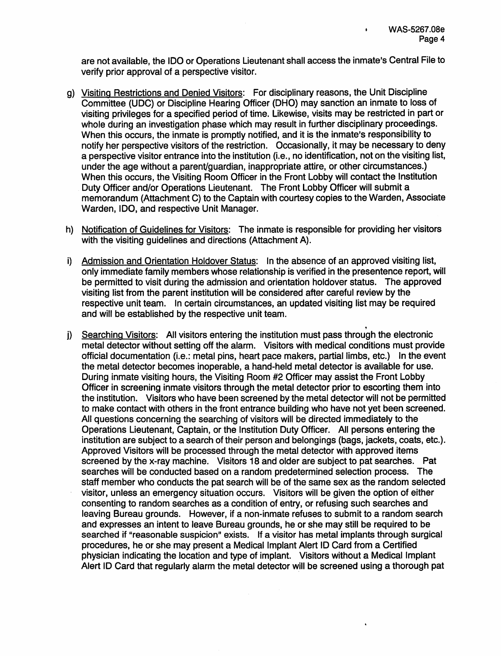are not available, the IDO or Operations Lieutenant shall access the inmate's Central File to verify prior approval of a perspective visitor.

- g) Visiting Restrictions and Denied Visitors: For disciplinary reasons, the Unit Discipline Committee (UDC) or Discipline Hearing Officer (DHO) may sanction an inmate to loss of visiting privileges for a specified period of time. Likewise, visits may be restricted in part or whole during an investigation phase which may result in further disciplinary proceedings. When this occurs, the inmate is promptly notified, and it is the inmate's responsibility to notify her perspective visitors of the restriction. Occasionally, it may be necessary to deny a perspective visitor entrance into the institution (i.e., no identification, not on the visiting list, under the age without a parent/guardian, inappropriate attire, or other circumstances.) When this occurs, the Visiting Room Officer in the Front Lobby will contact the Institution Duty Officer and/or Operations Lieutenant. The Front Lobby Officer will submit a memorandum (Attachment C) to the Captain with courtesy copies to the Warden, Associate Warden, IDO, and respective Unit Manager.
- h) Notification of Guidelines for Visitors: The inmate is responsible for providing her visitors with the visiting quidelines and directions (Attachment A).
- i) Admission and Orientation Holdover Status: In the absence of an approved visiting list, only immediate family members whose relationship is verified in the presentence report, will be permitted to visit during the admission and orientation holdover status. The approved visiting list from the parent institution will be considered after careful review by the respective unit team. In certain circumstances, an updated visiting list may be required and will be established by the respective unit team.
- . j) Searching Visitors: All visitors entering the institution must pass through the electronic metal detector without setting off the alarm. Visitors with medical conditions must provide official documentation (i.e.: metal pins, heart pace makers, partial limbs, etc.) In the event the metal detector becomes inoperable, a hand-held metal detector is available for use. During inmate visiting hours, the Visiting Room #2 Officer may assist the Front Lobby Officer in screening inmate visitors through the metal detector prior to escorting them into the institution. Visitors who have been screened by the metal detector will not be permitted to make contact with others in the front entrance building who have not yet been screened. All questions concerning the searching of visitors will be directed immediately to the Operations Lieutenant, Captain, or the Institution Duty Officer. All persons entering the institution are subject to a search of their person and belongings (bags, jackets, coats, etc.). Approved Visitors will be processed through the metal detector with approved items screened by the x-ray machine. Visitors 18 and older are subject to pat searches. Pat searches will be conducted based on a random predetermined selection process. The staff member who conducts the pat search will be of the same sex as the random selected visitor, unless an emergency situation occurs. Visitors will be given the option of either consenting to random searches as a condition of entry, or refusing such searches and leaving Bureau grounds. However, if a non-inmate refuses to submit to a random search and expresses an intent to leave Bureau grounds, he or she may still be required to be searched if "reasonable suspicion" exists. If a visitor has metal implants through surgical procedures, he or she may present a Medical Implant Alert ID Card from a Certified physician indicating the location and type of implant. Visitors without a Medical Implant Alert ID Card that regularly alarm the metal detector will be screened using a thorough pat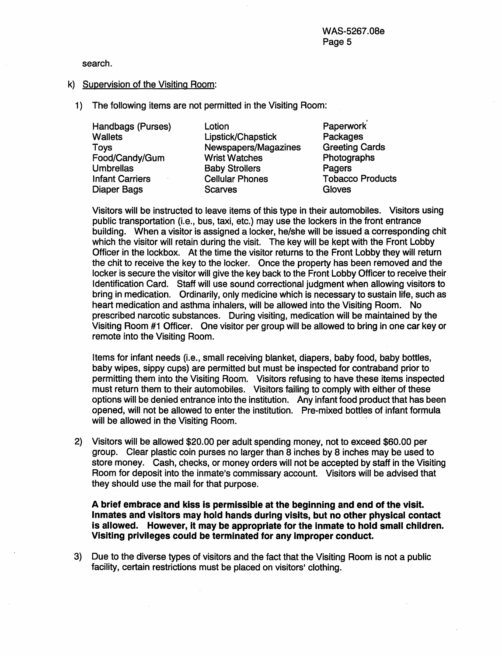search.

#### k) Supervision of the Visiting Room:

1) The following items are not permitted in the Visiting Room:

Handbags (Purses) **Wallets** Toys Food/Candy/Gum Umbrellas Infant Carriers Diaper Bags

**Lotion** Lipstick/Chapstick Newspapers/Magazines Wrist Watches Baby Strollers Cellular Phones **Scarves** 

Paperwork' Packages Greeting Cards **Photographs Pagers** Tobacco Products **Gloves** 

Visitors will be instructed to leave items of this type in their automobiles. Visitors using public transportation {i.e., bus, taxi, etc.) may use the lockers in the front entrance building. When a visitor is assigned a locker, he/she will be issued a corresponding chit which the visitor will retain during the visit. The key will be kept with the Front Lobby Officer in the lockbox. At the time the visitor returns to the Front Lobby they will return the chit to receive the key to the locker. Once the property has been removed and the locker is secure the visitor will give the key back to the Front Lobby Officer to receive their Identification Card. Staff will use sound correctional judgment when allowing visitors to bring in medication. Ordinarily, only medicine which is necessary to sustain life, such as heart medication and asthma inhalers, will be allowed into the Visiting Room. No prescribed.narcotic substances. During visiting, medication will be maintained by the Visiting Room #1 Officer. One visitor per group will be allowed to bring in one car key or remote into the Visiting Room.

Items for infant needs (i.e., small receiving blanket, diapers, baby food, baby bottles, baby wipes, sippy cups) are permitted but must be inspected for contraband prior to permitting them into the Visiting Room. Visitors refusing to have these items inspected must return them to their automobiles. Visitors failing to comply with either of these options will be denied entrance into the institution. Any infant food product that has been opened, will not be allowed to enter the institution. Pre-mixed bottles of infant formula will be allowed in the Visiting Room.

2) Visitors will be allowed \$20.00 per adult spending money, not to exceed \$60.00 per group. Clear plastic coin purses no larger than 8 inches by 8 inches may be used to store money. Cash, checks, or money orders will not be accepted by staff in the Visiting Room for deposit into the inmate's commissary account. Visitors will be advised that they should use the mail for that purpose.

A brief embrace and kiss is permissible at the beginning and end of the visit. Inmates and visitors may hold hands during visits, but no other physical contact is allowed. However, It may be appropriate for the Inmate to hold small children. VIsiting privileges could be terminated for any Improper conduct.

3) Due to the diverse types of visitors and the fact that the Visiting Room is not a public facility, certain restrictions must be placed on visitors' clothing.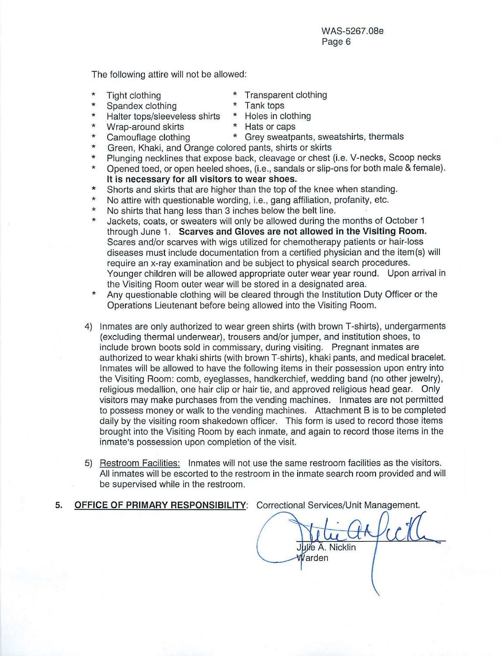The following attire will not be allowed:

- \*
- \* Tight clothing  $\overline{ }$  \* Transparent clothing<br>Spandex clothing \* Tank tops
- \* Spandex clothing \* Tank tops<br>Halter tops/sleeveless shirts \* Holes in clothing Halter tops/sleeveless shirts \* Holes in cloth<br>Wrap-around skirts \* Hats or caps
- \* Wrap-around skirts<br>Camouflage clothing
- \* \*
- 
- \* Grey sweatpants, sweatshirts, thermals
- Green, Khaki, and Orange colored pants, shirts or skirts
- \* \* Plunging necklines that expose back, cleavage or chest (i.e. V-necks, Scoop necks Opened toed, or open heeled shoes, (i.e., sandals or slip-ons for both male & female).
- **It is necessary for all visitors to wear shoes.**
- \* Shorts and skirts that are higher than the top of the knee when standing.
- \* No attire with questionable wording, i.e., gang affiliation, profanity, etc.
- \* No shirts that hang less than 3 inches below the belt line.
- \* Jackets, coats, or sweaters will only be allowed during the months of October 1 through June 1. **Scarves and Gloves are not allowed in the Visiting Room.**  Scares and/or scarves with wigs utilized for chemotherapy patients or hair-loss diseases must include documentation from a certified physician and the item(s) will require an x-ray examination and be subject to physical search procedures. Younger children will be allowed appropriate outer wear year round. Upon arrival in the Visiting Room outer wear will be stored in a designated area.
- \* Any questionable clothing will be cleared through the Institution Duty Officer or the Operations Lieutenant before being allowed into the Visiting Room.
- 4) Inmates are only authorized to wear green shirts (with brown T-shirts), undergarments (excluding thermal underwear), trousers and/or jumper, and institution shoes, to include brown boots sold in commissary, during visiting. Pregnant inmates are authorized to wear khaki shirts (with brown T-shirts), khaki pants, and medical bracelet. Inmates will be allowed to have the following items in their possession upon entry into the Visiting Room: comb, eyeglasses, handkerchief, wedding band (no other jewelry), religious medallion, one hair clip or hair tie, and approved religious head gear. Only visitors may make purchases from the vending machines. Inmates are not permitted to possess money or walk to the vending machines. Attachment B is to be completed daily by the visiting room shakedown officer. This form is used to record those items brought into the Visiting Room by each inmate, and again to record those items in the inmate's possession upon completion of the visit.
- 5) Restroom Facilities: Inmates will not use the same restroom facilities as the visitors. All inmates will be escorted to the restroom in the inmate search room provided and will be supervised while in the restroom.
- **5. OFFICE OF PRIMARY RESPONSIBILITY:** Correctional Services/Unit Management.

Julie A. Nicklin Varden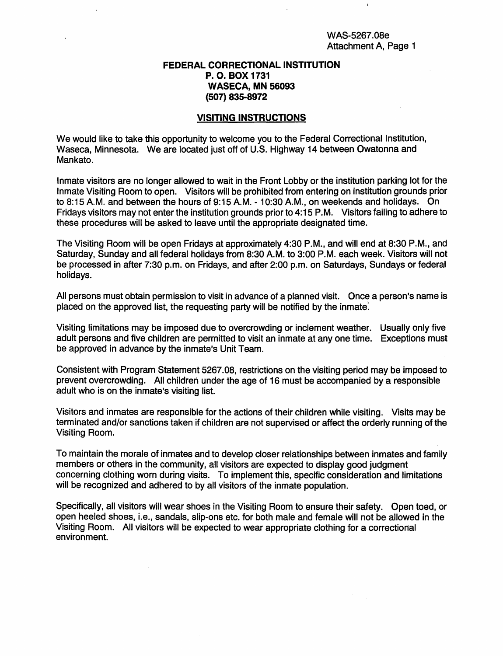#### FEDERAL CORRECTIONAL INSTITUTION P. 0. BOX 1731 WASECA, MN 56093 (507) 835-8972

#### VISITING INSTRUCTIONS

We would like to take this opportunity to welcome you to the Federal Correctional Institution, Waseca, Minnesota. We are located just off of U.S. Highway 14 between Owatonna and Mankato.

Inmate visitors are no longer allowed to wait in the Front Lobby or the institution parking lot for the Inmate Visiting Room to open. Visitors will be prohibited from entering on institution grounds prior to 8:15A.M. and between the hours of 9:15A.M.- 10:30 A.M., on weekends and holidays. On Fridays visitors may not enter the institution grounds prior to 4:15P.M. Visitors failing to adhere to these procedures will be asked to leave until the appropriate designated time.

The Visiting Room will be open Fridays at approximately 4:30 P.M., and will end at 8:30 P.M., and Saturday, Sunday and all federal holidays from 8:30 A.M. to 3:00 P.M. each week. Visitors will not be processed in after 7:30 p.m. on Fridays, and after 2:00 p.m. on Saturdays, Sundays or federal holidays.

All persons must obtain permission to visit in advance of a planned visit. Once a person's name is placed on the approved list, the requesting party will be notified by the inmate:

Visiting limitations may be imposed due to overcrowding or inclement weather. Usually only five adult persons and five children are permitted to visit an inmate at any one time. Exceptions must be approved in advance by the inmate's Unit Team.

Consistent with Program Statement 5267.08, restrictions on the visiting period may be imposed to prevent overcrowding. All children under the age of 16 must be accompanied by a responsible adult who is on the inmate's visiting list.

Visitors and inmates are responsible for the actions of their children while visiting. Visits may be terminated and/or sanctions taken if children are not supervised or affect the orderly running of the Visiting Room.

To maintain the morale of inmates and to develop closer relationships between inmates and family members or others in the community, all visitors are expected to display good judgment concerning clothing worn during visits. To implement this, specific consideration and limitations will be recognized and adhered to by all visitors of the inmate population.

Specifically, all visitors will wear shoes in the Visiting Room to ensure their safety. Open toed, or open heeled shoes, i.e., sandals, slip-ons etc. for both male and female will not be allowed in the Visiting Room. All visitors will be expected to wear appropriate clothing for a correctional environment.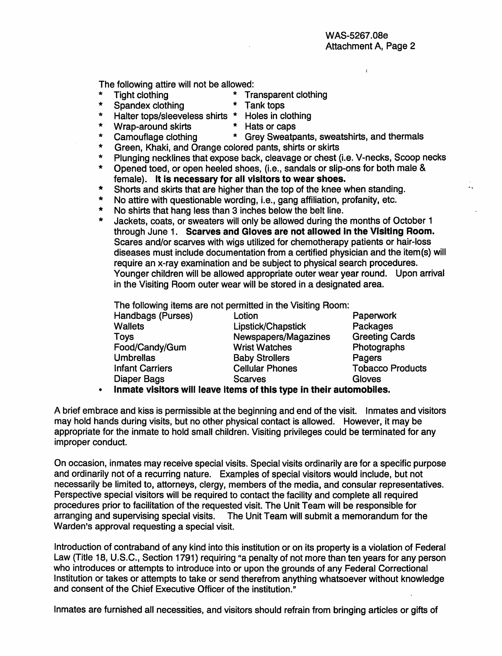$\mathbf{r}$ 

 $\cdot$ 

The following attire will not be allowed:<br>
\* Tight clothing \* Tra

- 
- \* Tight clothing \* Transparent clothing<br>\* Spandex clothing \* Tank tops \* Spandex clothing \* Tank tops
- \* Halter tops/sleeveless shirts \* Holes in clothing
	-
- \* Wrap-around skirts \* Hats or caps<br>\* Camouflage clothing \* Grey Sweatp
	-
- \* Camouflage clothing \* Grey Sweatpants, sweatshirts, and thermals \* Green, Khaki, and Orange colored pants, shirts or skirts
- \* Plunging necklines that expose back, cleavage or chest (i.e. V-necks, Scoop necks
- Opened toed, or open heeled shoes, (i.e., sandals or slip-ons for both male & female). It is necessary for all visitors to wear shoes.
- \* Shorts and skirts that are higher than the top of the knee when standing.<br>No otting with quonting ble wording i.e., gang officition, professive ato
- \* No attire with questionable wording, i.e., gang affiliation, profanity, etc.
- \* No shirts that hang less than 3 inches below the belt line.
- Jackets, coats, or sweaters will only be allowed during the months of October 1 through June 1. Scarves and Gloves are not allowed in the VIsiting Room. Scares and/or scarves with wigs utilized for chemotherapy patients or hair-loss diseases must include documentation from a certified physician and the item(s) will require an x-ray examination and be subject to physical search procedures. Younger children will be allowed appropriate outer wear year round. Upon arrival in the Visiting Room outer wear will be stored in a designated area.

The following items are not permitted in the Visiting Room:

| Handbags (Purses)      | Lotion                                                            | Paperwork               |
|------------------------|-------------------------------------------------------------------|-------------------------|
| <b>Wallets</b>         | Lipstick/Chapstick                                                | Packages                |
| <b>Toys</b>            | Newspapers/Magazines                                              | <b>Greeting Cards</b>   |
| Food/Candy/Gum         | <b>Wrist Watches</b>                                              | Photographs             |
| <b>Umbrellas</b>       | <b>Baby Strollers</b>                                             | Pagers                  |
| <b>Infant Carriers</b> | <b>Cellular Phones</b>                                            | <b>Tobacco Products</b> |
| Diaper Bags            | <b>Scarves</b>                                                    | Gloves                  |
|                        | lameth challeng will leave liems of this two in their subsmall ha |                         |

• Inmate visitors will leave items of this type in their automobiles.

A brief embrace and kiss is permissible at the beginning and end of the visit. Inmates and visitors may hold hands during visits, but no other physical contact is allowed. However, it may be appropriate for the inmate to hold small children. Visiting privileges could be terminated for any improper conduct.

On occasion, inmates may receive special visits. Special visits ordinarily are for a specific purpose and ordinarily not of a recurring nature. Examples of special visitors would include, but not necessarily be limited to, attorneys, clergy, members of the media, and consular representatives. Perspective special visitors will be required to contact the facility and complete all required procedures prior to facilitation of the requested visit. The Unit Team will be responsible for arranging and supervising special visits. The Unit Team will submit a memorandum for the Warden's approval requesting a special visit.

Introduction of contraband of any kind into this institution or on its property is a violation of Federal Law (Title 18, U.S.C., Section 1791) requiring "a penalty of not more than ten years for any person who introduces or attempts to introduce into or upon the grounds of any Federal Correctional Institution or takes or attempts to take or send therefrom anything whatsoever without knowledge and consent of the Chief Executive Officer of the institution."

Inmates are furnished all necessities, and visitors should refrain from bringing articles or gifts of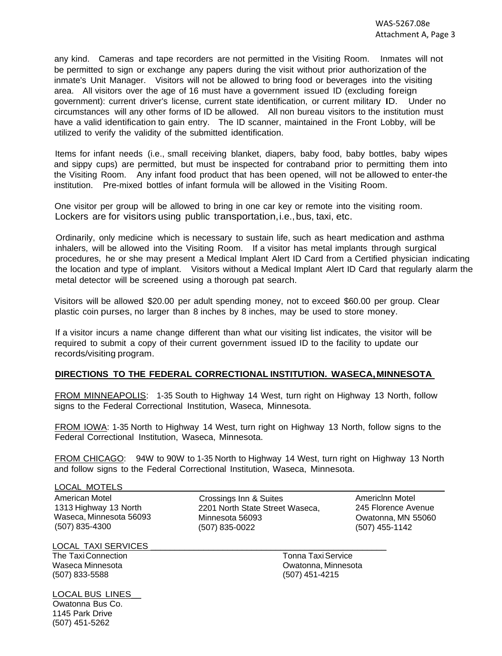any kind. Cameras and tape recorders are not permitted in the Visiting Room. Inmates will not be permitted to sign or exchange any papers during the visit without prior authorization of the inmate's Unit Manager. Visitors will not be allowed to bring food or beverages into the visiting area. All visitors over the age of 16 must have a government issued ID (excluding foreign government): current driver's license, current state identification, or current military ID. Under no circumstances will any other forms of ID be allowed. All non bureau visitors to the institution must have a valid identification to gain entry. The ID scanner, maintained in the Front Lobby, will be utilized to verify the validity of the submitted identification.

Items for infant needs (i.e., small receiving blanket, diapers, baby food, baby bottles, baby wipes and sippy cups) are permitted, but must be inspected for contraband prior to permitting them into the Visiting Room. Any infant food product that has been opened, will not be allowed to enter-the institution. Pre-mixed bottles of infant formula will be allowed in the Visiting Room.

One visitor per group will be allowed to bring in one car key or remote into the visiting room. Lockers are for visitors using public transportation, i.e., bus, taxi, etc.

Ordinarily, only medicine which is necessary to sustain life, such as heart medication and asthma inhalers, will be allowed into the Visiting Room. If a visitor has metal implants through surgical procedures, he or she may present a Medical Implant Alert ID Card from a Certified physician indicating the location and type of implant. Visitors without a Medical Implant Alert ID Card that regularly alarm the metal detector will be screened using a thorough pat search.

Visitors will be allowed \$20.00 per adult spending money, not to exceed \$60.00 per group. Clear plastic coin purses, no larger than 8 inches by 8 inches, may be used to store money.

If a visitor incurs a name change different than what our visiting list indicates, the visitor will be required to submit a copy of their current government issued ID to the facility to update our records/visiting program.

#### **DIRECTIONS TO THE FEDERAL CORRECTIONAL INSTITUTION. WASECA,MINNESOTA**

FROM MINNEAPOLIS: 1-35 South to Highway 14 West, turn right on Highway 13 North, follow signs to the Federal Correctional Institution, Waseca, Minnesota.

FROM IOWA: 1-35 North to Highway 14 West, turn right on Highway 13 North, follow signs to the Federal Correctional Institution, Waseca, Minnesota.

FROM CHICAGO: 94W to 90W to 1-35 North to Highway 14 West, turn right on Highway 13 North and follow signs to the Federal Correctional Institution, Waseca, Minnesota.

#### LOCAL MOTELS

American Motel 1313 Highway 13 North Waseca, Minnesota 56093 (507) 835-4300

Crossings Inn & Suites 2201 North State Street Waseca, Minnesota 56093 (507) 835-0022

Americlnn Motel 245 Florence Avenue Owatonna, MN 55060 (507) 455-1142

LOCAL TAXI SERVICES

The TaxiConnection Waseca Minnesota (507) 833-5588

LOCAL BUS LINES\_\_ Owatonna Bus Co. 1145 Park Drive (507) 451-5262

Tonna TaxiService Owatonna, Minnesota (507) 451-4215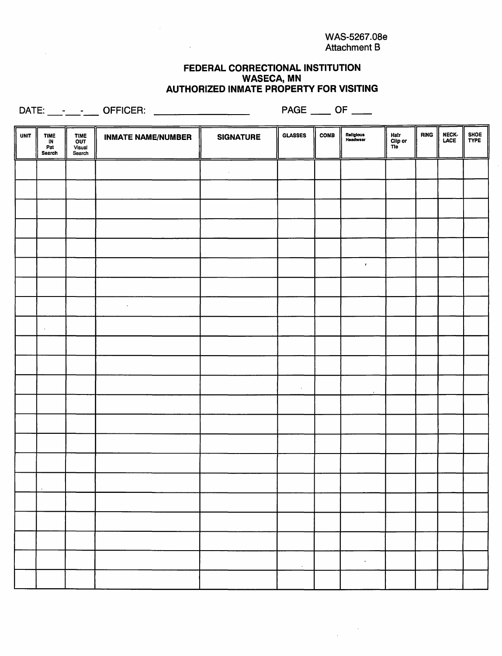$\frac{1}{\sqrt{2}}\left(\frac{1}{\sqrt{2}}\right)^{2}+\frac{1}{2}\left(\frac{1}{\sqrt{2}}\right)^{2}$ 

### FEDERAL CORRECTIONAL INSTITUTION WASECA, MN AUTHORIZED INMATE PROPERTY FOR VISITING

 $\sim$   $\sim$ 

DATE: \_\_\_ OFFICER: PAGE OF

 $\sim$ 

| <b>UNIT</b> | <b>TIME</b><br>IN<br>Pat<br>Search | <b>TIME</b><br>OUT<br>Visual<br>Search | <b>INMATE NAME/NUMBER</b> | <b>SIGNATURE</b> | <b>GLASSES</b> | COMB | Religious<br>Headwear | Hair<br>Clip or<br>Tie | <b>RING</b> | NECK-<br>LACE | SHOE<br>TYPE |
|-------------|------------------------------------|----------------------------------------|---------------------------|------------------|----------------|------|-----------------------|------------------------|-------------|---------------|--------------|
|             |                                    |                                        |                           | $\epsilon$       |                |      |                       |                        |             |               |              |
|             |                                    |                                        |                           |                  |                |      |                       |                        |             |               |              |
|             |                                    |                                        |                           |                  |                |      |                       |                        |             |               |              |
|             |                                    |                                        |                           |                  |                |      |                       |                        |             |               |              |
|             |                                    |                                        |                           |                  |                |      |                       |                        |             |               |              |
|             |                                    |                                        |                           |                  |                |      | $\pmb{\epsilon}$      |                        |             |               |              |
|             |                                    |                                        |                           |                  |                |      |                       |                        |             |               |              |
|             |                                    |                                        | $\bullet$                 |                  |                |      |                       |                        |             |               |              |
|             | $\lambda$                          |                                        |                           |                  |                |      |                       |                        |             |               |              |
|             |                                    |                                        |                           |                  |                |      |                       |                        |             |               |              |
|             |                                    |                                        |                           |                  |                |      |                       |                        |             |               |              |
|             |                                    |                                        |                           |                  | $\alpha$       |      | $\bullet$             |                        |             |               |              |
|             |                                    |                                        |                           |                  |                |      |                       |                        |             |               |              |
|             |                                    |                                        |                           |                  |                |      |                       |                        |             |               |              |
|             |                                    |                                        |                           |                  |                |      |                       |                        |             |               |              |
|             |                                    |                                        |                           |                  |                |      |                       |                        |             |               |              |
|             |                                    |                                        |                           |                  |                |      |                       |                        |             |               |              |
|             |                                    |                                        |                           |                  |                |      |                       |                        |             |               |              |
|             |                                    |                                        |                           |                  |                |      |                       |                        |             |               |              |
|             |                                    |                                        |                           |                  |                |      |                       |                        |             |               |              |
|             |                                    |                                        |                           |                  | $\sim$         |      | $\mathcal{F}$ .       |                        |             |               |              |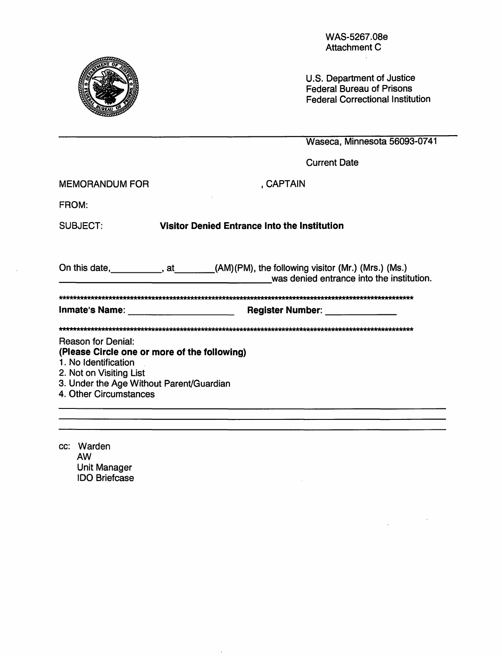MEMORANDUM FOR GAPTAIN FROM: Attachment C U.S. Department of Justice Federal Bureau of Prisons Federal Correctional Institution Waseca, Minnesota 56093-0741 Current Date SUBJECT: Visitor Denied Entrance Into the Institution On this date, \_\_\_\_\_\_\_\_\_, at \_\_\_\_\_\_(AM)(PM), the following visitor (Mr.) (Mrs.) (Ms.) was denied entrance into the institution. AAAAAAAAAAAAAAAAAAAAAAAAAAAAAAAAAAAAAAAAAAAAAAAAAAAAAAAAAAAAAAAAAAAAAAAAAAAAAAAAAAAAAAAAAAAAAAAAAAAA Inmate's Name: -------------------- Register Number: \_\_\_\_\_ \_ AAAAAAAAAAAAAAAAAAAAAAAAAAAAAAAAAAAAAAAAAAAAAAAAAAAAAAAAAAAAAAAAAAAAAAAAAAAAAAAAAAAAAAAAAAAAAAAAAAAA Reason for Denial: (Please Circle one or more of the following) 1 . No Identification 2. Not on Visiting List 3. Under the Age Without Parent/Guardian 4. Other Circumstances

WAS-5267.08e

cc: Warden AW Unit Manager IDO Briefcase